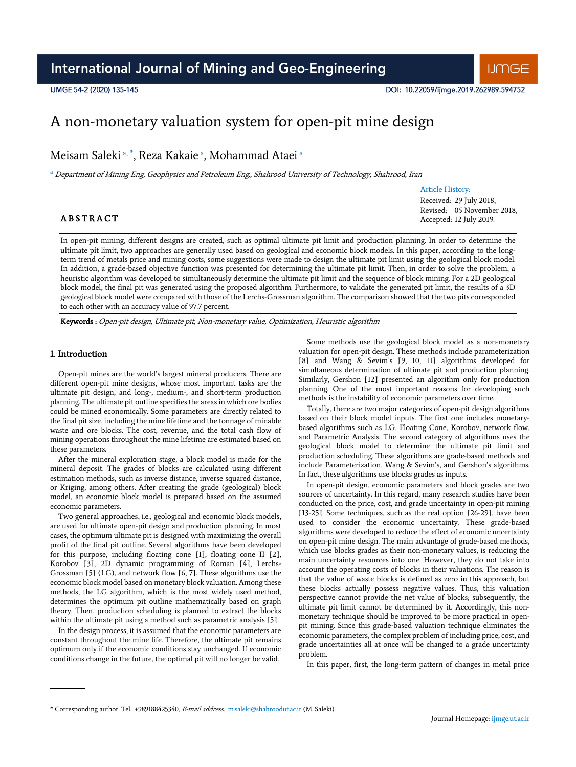# A non-monetary valuation system for open-pit mine design

Meisam Saleki <sup>a, \*</sup>, Reza Kakaie <sup>a</sup>, Mohammad Ataei <sup>a</sup>

<sup>a</sup> Department of Mining Eng, Geophysics and Petroleum Eng., Shahrood University of Technology, Shahrood, Iran

# Article History:

Received: 29 July 2018, Revised: 05 November 2018, Accepted: 12 July 2019.

# **ABSTRACT**

In open-pit mining, different designs are created, such as optimal ultimate pit limit and production planning. In order to determine the ultimate pit limit, two approaches are generally used based on geological and economic block models. In this paper, according to the longterm trend of metals price and mining costs, some suggestions were made to design the ultimate pit limit using the geological block model. In addition, a grade-based objective function was presented for determining the ultimate pit limit. Then, in order to solve the problem, a heuristic algorithm was developed to simultaneously determine the ultimate pit limit and the sequence of block mining. For a 2D geological block model, the final pit was generated using the proposed algorithm. Furthermore, to validate the generated pit limit, the results of a 3D geological block model were compared with those of the Lerchs-Grossman algorithm. The comparison showed that the two pits corresponded to each other with an accuracy value of 97.7 percent.

Keywords : Open-pit design, Ultimate pit, Non-monetary value, Optimization, Heuristic algorithm

# 1. Introduction

Open-pit mines are the world's largest mineral producers. There are different open-pit mine designs, whose most important tasks are the ultimate pit design, and long-, medium-, and short-term production planning. The ultimate pit outline specifies the areas in which ore bodies could be mined economically. Some parameters are directly related to the final pit size, including the mine lifetime and the tonnage of minable waste and ore blocks. The cost, revenue, and the total cash flow of mining operations throughout the mine lifetime are estimated based on these parameters.

After the mineral exploration stage, a block model is made for the mineral deposit. The grades of blocks are calculated using different estimation methods, such as inverse distance, inverse squared distance, or Kriging, among others. After creating the grade (geological) block model, an economic block model is prepared based on the assumed economic parameters.

Two general approaches, i.e., geological and economic block models, are used for ultimate open-pit design and production planning. In most cases, the optimum ultimate pit is designed with maximizing the overall profit of the final pit outline. Several algorithms have been developed for this purpose, including floating cone [1], floating cone II [2], Korobov [3], 2D dynamic programming of Roman [4], Lerchs-Grossman [5] (LG), and network flow [6, 7]. These algorithms use the economic block model based on monetary block valuation. Among these methods, the LG algorithm, which is the most widely used method, determines the optimum pit outline mathematically based on graph theory. Then, production scheduling is planned to extract the blocks within the ultimate pit using a method such as parametric analysis [5].

In the design process, it is assumed that the economic parameters are constant throughout the mine life. Therefore, the ultimate pit remains optimum only if the economic conditions stay unchanged. If economic conditions change in the future, the optimal pit will no longer be valid.

Some methods use the geological block model as a non-monetary valuation for open-pit design. These methods include parameterization [8] and Wang & Sevim's [9, 10, 11] algorithms developed for simultaneous determination of ultimate pit and production planning. Similarly, Gershon [12] presented an algorithm only for production planning. One of the most important reasons for developing such methods is the instability of economic parameters over time.

Totally, there are two major categories of open-pit design algorithms based on their block model inputs. The first one includes monetarybased algorithms such as LG, Floating Cone, Korobov, network flow, and Parametric Analysis. The second category of algorithms uses the geological block model to determine the ultimate pit limit and production scheduling. These algorithms are grade-based methods and include Parameterization, Wang & Sevim's, and Gershon's algorithms. In fact, these algorithms use blocks grades as inputs.

In open-pit design, economic parameters and block grades are two sources of uncertainty. In this regard, many research studies have been conducted on the price, cost, and grade uncertainty in open-pit mining [13-25]. Some techniques, such as the real option [26-29], have been used to consider the economic uncertainty. These grade-based algorithms were developed to reduce the effect of economic uncertainty on open-pit mine design. The main advantage of grade-based methods, which use blocks grades as their non-monetary values, is reducing the main uncertainty resources into one. However, they do not take into account the operating costs of blocks in their valuations. The reason is that the value of waste blocks is defined as zero in this approach, but these blocks actually possess negative values. Thus, this valuation perspective cannot provide the net value of blocks; subsequently, the ultimate pit limit cannot be determined by it. Accordingly, this nonmonetary technique should be improved to be more practical in openpit mining. Since this grade-based valuation technique eliminates the economic parameters, the complex problem of including price, cost, and grade uncertainties all at once will be changed to a grade uncertainty problem.

In this paper, first, the long-term pattern of changes in metal price

<sup>\*</sup> Corresponding author. Tel.: +989188425340, E-mail address: m.saleki@shahroodut.ac.ir (M. Saleki).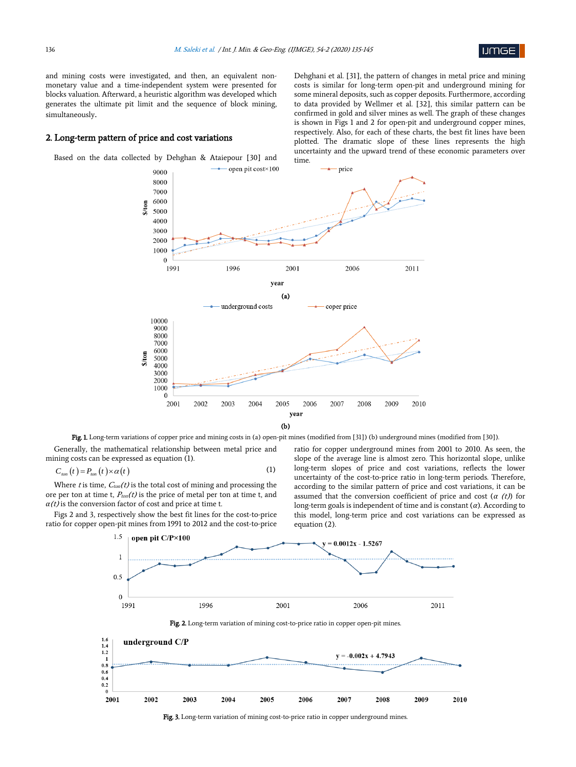

and mining costs were investigated, and then, an equivalent nonmonetary value and a time-independent system were presented for blocks valuation. Afterward, a heuristic algorithm was developed which generates the ultimate pit limit and the sequence of block mining, simultaneously.

#### 2. Long-term pattern of price and cost variations

Based on the data collected by Dehghan & Ataiepour [30] and

Dehghani et al. [31], the pattern of changes in metal price and mining costs is similar for long-term open-pit and underground mining for some mineral deposits, such as copper deposits. Furthermore, according to data provided by Wellmer et al. [32], this similar pattern can be confirmed in gold and silver mines as well. The graph of these changes is shown in Figs 1 and 2 for open-pit and underground copper mines, respectively. Also, for each of these charts, the best fit lines have been plotted. The dramatic slope of these lines represents the high uncertainty and the upward trend of these economic parameters over



Fig. 1. Long-term variations of copper price and mining costs in (a) open-pit mines (modified from [31]) (b) underground mines (modified from [30])

Generally, the mathematical relationship between metal price and mining costs can be expressed as equation (1).

$$
C_{\text{ion}}(t) = P_{\text{ion}}(t) \times \alpha(t) \tag{1}
$$

Where t is time,  $C_{ton}(t)$  is the total cost of mining and processing the ore per ton at time t,  $P_{ton}(t)$  is the price of metal per ton at time t, and  $a(t)$  is the conversion factor of cost and price at time t.

Figs 2 and 3, respectively show the best fit lines for the cost-to-price ratio for copper open-pit mines from 1991 to 2012 and the cost-to-price

ratio for copper underground mines from 2001 to 2010. As seen, the slope of the average line is almost zero. This horizontal slope, unlike long-term slopes of price and cost variations, reflects the lower uncertainty of the cost-to-price ratio in long-term periods. Therefore, according to the similar pattern of price and cost variations, it can be assumed that the conversion coefficient of price and cost (*α* (t)) for long-term goals is independent of time and is constant (*α*). According to this model, long-term price and cost variations can be expressed as equation (2).







Fig. 3. Long-term variation of mining cost-to-price ratio in copper underground mines.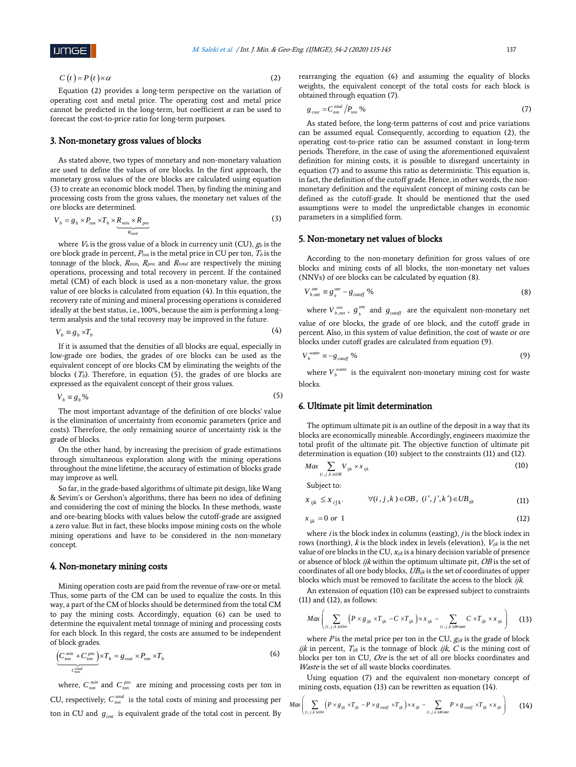$$
C(t) = P(t) \times \alpha \tag{2}
$$

Equation (2) provides a long-term perspective on the variation of operating cost and metal price. The operating cost and metal price cannot be predicted in the long-term, but coefficient *α* can be used to forecast the cost-to-price ratio for long-term purposes.

# 3. Non-monetary gross values of blocks

*total*

As stated above, two types of monetary and non-monetary valuation are used to define the values of ore blocks. In the first approach, the monetary gross values of the ore blocks are calculated using equation (3) to create an economic block model. Then, by finding the mining and processing costs from the gross values, the monetary net values of the ore blocks are determined.

$$
V_b = g_b \times P_{ion} \times T_b \times \underbrace{R_{min} \times R_{pro}}_{R_{out}} \tag{3}
$$

where  $\mathit{V}_b$  is the gross value of a block in currency unit (CU),  $g_b$  is the ore block grade in percent,  $P_{ton}$  is the metal price in CU per ton,  $T_b$  is the tonnage of the block,  $R_{min}$ ,  $R_{pro}$ , and  $R_{total}$  are respectively the mining operations, processing and total recovery in percent. If the contained metal (CM) of each block is used as a non-monetary value, the gross value of ore blocks is calculated from equation (4). In this equation, the recovery rate of mining and mineral processing operations is considered ideally at the best status, i.e., 100%, because the aim is performing a longterm analysis and the total recovery may be improved in the future.

$$
V_b \equiv g_b \times T_b \tag{4}
$$

If it is assumed that the densities of all blocks are equal, especially in low-grade ore bodies, the grades of ore blocks can be used as the equivalent concept of ore blocks CM by eliminating the weights of the blocks ( $T_b$ ). Therefore, in equation (5), the grades of ore blocks are expressed as the equivalent concept of their gross values.

$$
V_b \equiv g_b \,\%
$$
\n<sup>(5)</sup>

The most important advantage of the definition of ore blocks' value is the elimination of uncertainty from economic parameters (price and costs). Therefore, the only remaining source of uncertainty risk is the grade of blocks.

On the other hand, by increasing the precision of grade estimations through simultaneous exploration along with the mining operations throughout the mine lifetime, the accuracy of estimation of blocks grade may improve as well.

So far, in the grade-based algorithms of ultimate pit design, like Wang & Sevim's or Gershon's algorithms, there has been no idea of defining and considering the cost of mining the blocks. In these methods, waste and ore-bearing blocks with values below the cutoff-grade are assigned a zero value. But in fact, these blocks impose mining costs on the whole mining operations and have to be considered in the non-monetary concept.

#### 4. Non-monetary mining costs

Mining operation costs are paid from the revenue of raw-ore or metal. Thus, some parts of the CM can be used to equalize the costs. In this way, a part of the CM of blocks should be determined from the total CM to pay the mining costs. Accordingly, equation (6) can be used to determine the equivalent metal tonnage of mining and processing costs for each block. In this regard, the costs are assumed to be independent of block grades.

$$
\underbrace{\left(C_{\text{ton}}^{\text{min}} + C_{\text{ton}}^{\text{pro}}\right)}_{C_{\text{ton}}^{\text{total}}} \times T_b = g_{\text{cos}} \times P_{\text{ton}} \times T_b \tag{6}
$$

where,  $C_{\text{ion}}^{\text{min}}$  and  $C_{\text{ion}}^{\text{pro}}$  are mining and processing costs per ton in CU, respectively;  $C_{\text{ton}}^{\text{total}}$  is the total costs of mining and processing per ton in CU and  $g_{\text{cost}}$  is equivalent grade of the total cost in percent. By rearranging the equation (6) and assuming the equality of blocks weights, the equivalent concept of the total costs for each block is obtained through equation (7).

$$
g_{\cos t} = C_{\tan}^{\text{total}} / P_{\text{ton}} \% \tag{7}
$$

As stated before, the long-term patterns of cost and price variations can be assumed equal. Consequently, according to equation (2), the operating cost-to-price ratio can be assumed constant in long-term periods. Therefore, in the case of using the aforementioned equivalent definition for mining costs, it is possible to disregard uncertainty in equation (7) and to assume this ratio as deterministic. This equation is, in fact, the definition of the cutoff grade. Hence, in other words, the nonmonetary definition and the equivalent concept of mining costs can be defined as the cutoff-grade. It should be mentioned that the used assumptions were to model the unpredictable changes in economic parameters in a simplified form.

### 5. Non-monetary net values of blocks

According to the non-monetary definition for gross values of ore blocks and mining costs of all blocks, the non-monetary net values (NNVs) of ore blocks can be calculated by equation (8).

$$
V_{b,net}^{ore} \equiv g_{b}^{ore} - g_{cutoff} \quad \%
$$
\n(8)

where  $V_{b,net}^{ore}$ ,  $g_{b}^{ore}$  and  $g_{cutoff}$  are the equivalent non-monetary net value of ore blocks, the grade of ore block, and the cutoff grade in percent. Also, in this system of value definition, the cost of waste or ore blocks under cutoff grades are calculated from equation (9).

$$
V_b^{\text{waste}} \equiv -g_{\text{cutoff}} \, \%
$$
\n<sup>(9)</sup>

where  $V_b^{\text{waste}}$  is the equivalent non-monetary mining cost for waste blocks.

### 6. Ultimate pit limit determination

The optimum ultimate pit is an outline of the deposit in a way that its blocks are economically mineable. Accordingly, engineers maximize the total profit of the ultimate pit. The objective function of ultimate pit determination is equation (10) subject to the constraints (11) and (12).

$$
Max \sum_{(i,j,k)\in \partial B} V_{ijk} \times x_{ijk} \tag{10}
$$

Subject to:

$$
x_{ijk} \le x_{ijk}, \qquad \forall (i, j, k) \in OB, \ (i', j', k') \in UB_{ijk}
$$
 (11)

$$
x_{ijk} = 0 \text{ or } 1 \tag{12}
$$

where  $i$  is the block index in columns (easting),  $j$  is the block index in rows (northing),  $k$  is the block index in levels (elevation),  $V_{ijk}$  is the net value of ore blocks in the CU,  $x_{ijk}$  is a binary decision variable of presence or absence of block ijk within the optimum ultimate pit, OB is the set of coordinates of all ore body blocks,  $UB_{ijk}$  is the set of coordinates of upper blocks which must be removed to facilitate the access to the block ijk.

An extension of equation (10) can be expressed subject to constraints (11) and (12), as follows:

$$
Max\left(\sum_{(i,j,k)\in Or} \left(P\times g_{ijk}\times T_{ijk} - C\times T_{ijk}\right)\times x_{ijk} - \sum_{(i,j,k)\in V\text{core}} C\times T_{ijk}\times x_{ijk}\right) \tag{13}
$$

where  $P$  is the metal price per ton in the CU,  $g_{ijk}$  is the grade of block ijk in percent,  $T_{ijk}$  is the tonnage of block ijk, C is the mining cost of blocks per ton in CU, Ore is the set of all ore blocks coordinates and Waste is the set of all waste blocks coordinates.

Using equation (7) and the equivalent non-monetary concept of

mining costs, equation (13) can be rewritten as equation (14).  
\n
$$
Max \left( \sum_{(i,j,k)\in\text{One}} (P \times g_{ijk} \times T_{ijk} - P \times g_{\text{cunoff}} \times T_{ijk}) \times x_{ijk} - \sum_{(i,j,k)\in\text{Wave}} P \times g_{\text{cunoff}} \times T_{ijk} \times x_{ijk} \right)
$$
\n(14)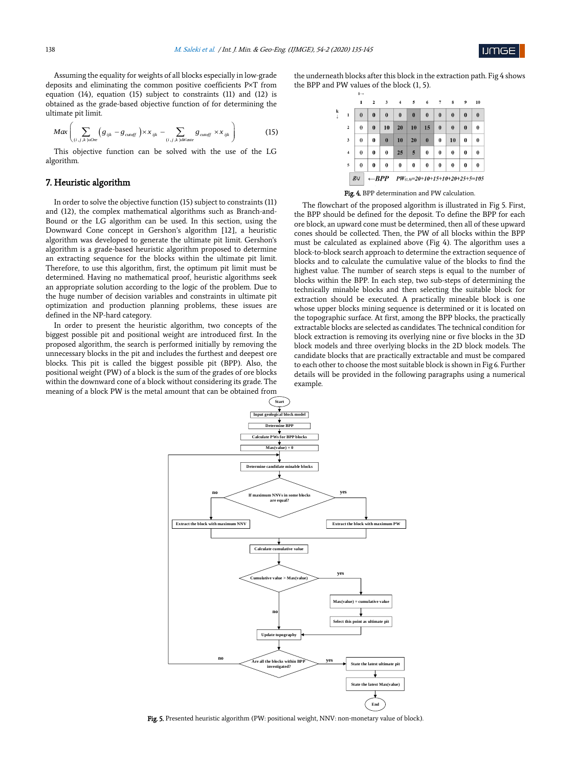

Assuming the equality for weights of all blocks especially in low-grade deposits and eliminating the common positive coefficients P×T from equation (14), equation (15) subject to constraints (11) and (12) is obtained as the grade-based objective function of for determining the ultimate pit limit.

$$
Max\left(\sum_{(i,j,k)\in\text{One}}\left(g_{ijk}-g_{\text{cutoff}}\right)\times x_{ijk}-\sum_{(i,j,k)\in\text{Wave}}g_{\text{cutoff}}\times x_{ijk}\right)
$$
(15)

This objective function can be solved with the use of the LG algorithm.

# 7. Heuristic algorithm

In order to solve the objective function (15) subject to constraints (11) and (12), the complex mathematical algorithms such as Branch-and-Bound or the LG algorithm can be used. In this section, using the Downward Cone concept in Gershon's algorithm [12], a heuristic algorithm was developed to generate the ultimate pit limit. Gershon's algorithm is a grade-based heuristic algorithm proposed to determine an extracting sequence for the blocks within the ultimate pit limit. Therefore, to use this algorithm, first, the optimum pit limit must be determined. Having no mathematical proof, heuristic algorithms seek an appropriate solution according to the logic of the problem. Due to the huge number of decision variables and constraints in ultimate pit optimization and production planning problems, these issues are defined in the NP-hard category.

In order to present the heuristic algorithm, two concepts of the biggest possible pit and positional weight are introduced first. In the proposed algorithm, the search is performed initially by removing the unnecessary blocks in the pit and includes the furthest and deepest ore blocks. This pit is called the biggest possible pit (BPP). Also, the positional weight (PW) of a block is the sum of the grades of ore blocks within the downward cone of a block without considering its grade. The meaning of a block PW is the metal amount that can be obtained from

the underneath blocks after this block in the extraction path. Fig 4 shows the BPP and PW values of the block (1, 5).

|                                                                      |              | 1                                | $\overline{2}$ | 3        | $\overline{4}$ | - 5      | 6        | 7        | 8        | 9        | 10       |  |  |
|----------------------------------------------------------------------|--------------|----------------------------------|----------------|----------|----------------|----------|----------|----------|----------|----------|----------|--|--|
| k                                                                    | $\mathbf{1}$ | $\bf{0}$                         | $\bf{0}$       | $\bf{0}$ | $\bf{0}$       | $\bf{0}$ | $\bf{0}$ | $\bf{0}$ | $\bf{0}$ | $\bf{0}$ | $\bf{0}$ |  |  |
|                                                                      | $\mathbf 2$  | $\bf{0}$                         | $\bf{0}$       | 10       | 20             | 10       | 15       | $\bf{0}$ | $\bf{0}$ | $\bf{0}$ | $\bf{0}$ |  |  |
|                                                                      | 3            | $\bf{0}$                         | $\bf{0}$       | $\bf{0}$ | 10             | 20       | $\bf{0}$ | $\bf{0}$ | 10       | $\bf{0}$ | $\bf{0}$ |  |  |
|                                                                      | 4            | $\bf{0}$<br>$\bf{0}$<br>$\bf{0}$ |                | 25       | 5              |          | $\bf{0}$ | $\bf{0}$ | $\bf{0}$ | $\bf{0}$ |          |  |  |
|                                                                      | 5            | $\bf{0}$                         | $\bf{0}$       | $\bf{0}$ | $\bf{0}$       | $\bf{0}$ | $\bf{0}$ | $\bf{0}$ | $\bf{0}$ | $\bf{0}$ | $\bf{0}$ |  |  |
| $g_{ij}$<br>$\leftarrow BPP$<br>$PW_{(1,5)}=20+10+15+10+20+25+5=105$ |              |                                  |                |          |                |          |          |          |          |          |          |  |  |

#### Fig. 4. BPP determination and PW calculation.

The flowchart of the proposed algorithm is illustrated in Fig 5. First, the BPP should be defined for the deposit. To define the BPP for each ore block, an upward cone must be determined, then all of these upward cones should be collected. Then, the PW of all blocks within the BPP must be calculated as explained above (Fig 4). The algorithm uses a block-to-block search approach to determine the extraction sequence of blocks and to calculate the cumulative value of the blocks to find the highest value. The number of search steps is equal to the number of blocks within the BPP. In each step, two sub-steps of determining the technically minable blocks and then selecting the suitable block for extraction should be executed. A practically mineable block is one whose upper blocks mining sequence is determined or it is located on the topographic surface. At first, among the BPP blocks, the practically extractable blocks are selected as candidates. The technical condition for block extraction is removing its overlying nine or five blocks in the 3D block models and three overlying blocks in the 2D block models. The candidate blocks that are practically extractable and must be compared to each other to choose the most suitable block is shown in Fig 6. Further details will be provided in the following paragraphs using a numerical example.



Fig. 5. Presented heuristic algorithm (PW: positional weight, NNV: non-monetary value of block).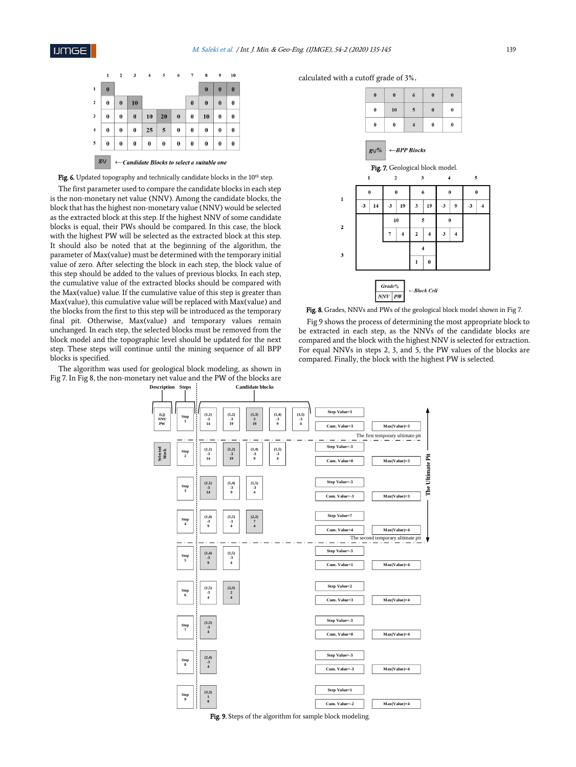



The first parameter used to compare the candidate blocks in each step is the non-monetary net value (NNV). Among the candidate blocks, the block that has the highest non-monetary value (NNV) would be selected as the extracted block at this step. If the highest NNV of some candidate blocks is equal, their PWs should be compared. In this case, the block with the highest PW will be selected as the extracted block at this step. It should also be noted that at the beginning of the algorithm, the parameter of Max(value) must be determined with the temporary initial value of zero. After selecting the block in each step, the block value of this step should be added to the values of previous blocks. In each step, the cumulative value of the extracted blocks should be compared with the Max(value) value. If the cumulative value of this step is greater than Max(value), this cumulative value will be replaced with Max(value) and the blocks from the first to this step will be introduced as the temporary final pit. Otherwise, Max(value) and temporary values remain unchanged. In each step, the selected blocks must be removed from the block model and the topographic level should be updated for the next step. These steps will continue until the mining sequence of all BPP blocks is specified.

The algorithm was used for geological block modeling, as shown in Fig 7. In Fig 8, the non-monetary net value and the PW of the blocks are **Candidate blocks Description Step** 

calculated with a cutoff grade of 3%.



Fig. 8. Grades, NNVs and PWs of the geological block model shown in Fig 7.

Fig 9 shows the process of determining the most appropriate block to be extracted in each step, as the NNVs of the candidate blocks are compared and the block with the highest NNV is selected for extraction. For equal NNVs in steps 2, 3, and 5, the PW values of the blocks are compared. Finally, the block with the highest PW is selected.



Fig. 9. Steps of the algorithm for sample block modeling.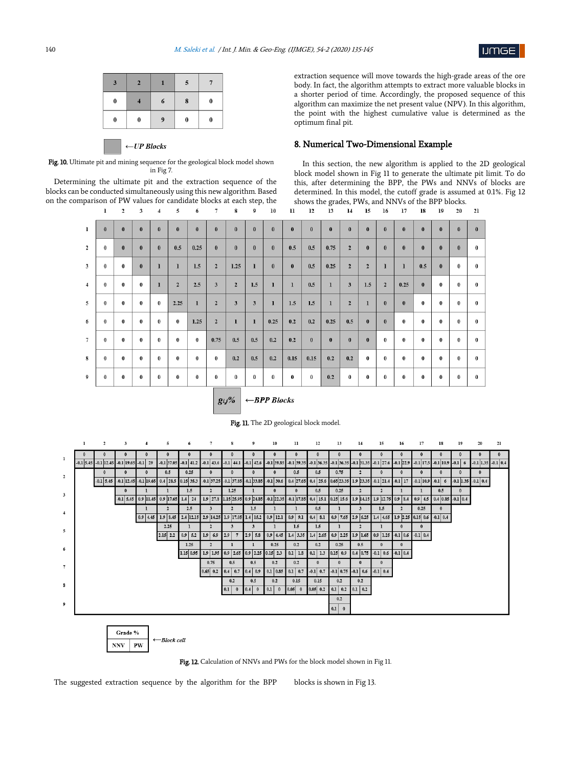

| 6<br>$\bf{0}$<br>8<br>0             | $\mathbf{3}$ | $\mathbf{z}$ | 5 |  |
|-------------------------------------|--------------|--------------|---|--|
|                                     |              |              |   |  |
| $\bf{0}$<br>9<br>$\bf{0}$<br>0<br>0 |              |              |   |  |

 $\leftarrow$  UP Blocks

Fig. 10. Ultimate pit and mining sequence for the geological block model shown in Fig 7.

Determining the ultimate pit and the extraction sequence of the blocks can be conducted simultaneously using this new algorithm. Based on the comparison of PW values for candidate blocks at each step, the 2 3 4 5 6 7 8 9 10  $\mathbf{1}$ 

extraction sequence will move towards the high-grade areas of the ore body. In fact, the algorithm attempts to extract more valuable blocks in a shorter period of time. Accordingly, the proposed sequence of this algorithm can maximize the net present value (NPV). In this algorithm, the point with the highest cumulative value is determined as the optimum final pit.

### 8. Numerical Two-Dimensional Example

In this section, the new algorithm is applied to the 2D geological block model shown in Fig 11 to generate the ultimate pit limit. To do this, after determining the BPP, the PWs and NNVs of blocks are determined. In this model, the cutoff grade is assumed at 0.1%. Fig 12 shows the grades, PWs, and NNVs of the BPP blocks.<br>11 12 13 14 15 16 17 18 19 20  $21$ 

18 19

20

| 1              | $\bf{0}$ | $\bf{0}$ | $\bf{0}$ | $\bf{0}$ | $\bf{0}$       | $\bf{0}$ | $\bf{0}$                | $\bf{0}$     | $\bf{0}$ | $\bf{0}$ | $\bf{0}$     | $\bf{0}$  | $\bf{0}$ | $\bf{0}$       | $\bf{0}$     | $\bf{0}$       | $\bf{0}$ | $\bf{0}$ | $\bf{0}$ | $\bf{0}$ | $\bf{0}$ |
|----------------|----------|----------|----------|----------|----------------|----------|-------------------------|--------------|----------|----------|--------------|-----------|----------|----------------|--------------|----------------|----------|----------|----------|----------|----------|
|                |          |          |          |          |                |          |                         |              |          |          |              |           |          |                |              |                |          |          |          |          |          |
| $\overline{2}$ | $\bf{0}$ | $\bf{0}$ | $\bf{0}$ | $\bf{0}$ | 0.5            | 0.25     | $\bf{0}$                | $\bf{0}$     | $\bf{0}$ | $\bf{0}$ | 0.5          | 0.5       | 0.75     | $\overline{2}$ | $\bf{0}$     | $\bf{0}$       | $\bf{0}$ | $\bf{0}$ | $\bf{0}$ | $\bf{0}$ | $\bf{0}$ |
| 3              | $\bf{0}$ | $\bf{0}$ | $\bf{0}$ | ı        | $\mathbf{1}$   | 1.5      | $\mathbf{2}$            | 1.25         | 1        | $\bf{0}$ | $\mathbf{0}$ | 0.5       | 0.25     | $\mathbf{2}$   | $\mathbf{2}$ | $\mathbf{I}$   | 1        | 0.5      | $\bf{0}$ | $\bf{0}$ | $\bf{0}$ |
| $\overline{4}$ | $\bf{0}$ | $\bf{0}$ | $\bf{0}$ | ı        | $\overline{2}$ | 2.5      | 3                       | $\mathbf{2}$ | 1.5      | 1        | 1            | 0.5       | 1        | 3              | 1.5          | $\overline{2}$ | 0.25     | $\bf{0}$ | $\bf{0}$ | $\bf{0}$ | $\bf{0}$ |
| 5              | $\bf{0}$ | $\bf{0}$ | $\bf{0}$ | $\bf{0}$ | 2.25           | 1        | $\overline{2}$          | 3            | 3        | 1        | 1.5          | 1.5       | 1        | $\overline{2}$ | $\mathbf{I}$ | $\bf{0}$       | $\bf{0}$ | $\bf{0}$ | $\bf{0}$ | $\bf{0}$ | $\bf{0}$ |
| 6              | $\bf{0}$ | $\bf{0}$ | $\bf{0}$ | $\bf{0}$ | 0              | 1.25     | $\overline{\mathbf{2}}$ | $\bf{l}$     | 1        | 0.25     | 0.2          | 0.2       | 0.25     | 0.5            | $\bf{0}$     | $\bf{0}$       | $\bf{0}$ | $\bf{0}$ | $\bf{0}$ | $\bf{0}$ | $\bf{0}$ |
| $\tau$         | $\bf{0}$ | $\bf{0}$ | $\bf{0}$ | $\bf{0}$ | 0              | 0        | 0.75                    | 0.5          | 0.5      | 0.2      | 0.2          | $\pmb{0}$ | $\bf{0}$ | $\bf{0}$       | $\bf{0}$     | $\bf{0}$       | 0        | $\bf{0}$ | $\bf{0}$ | $\bf{0}$ | $\bf{0}$ |
| 8              | $\bf{0}$ | $\bf{0}$ | $\bf{0}$ | $\bf{0}$ | 0              | 0        | $\bf{0}$                | 0.2          | 0.5      | 0.2      | 0.15         | 0.15      | 0.2      | 0.2            | $\bf{0}$     | $\bf{0}$       | $\bf{0}$ | $\bf{0}$ | $\bf{0}$ | $\bf{0}$ | $\bf{0}$ |
| 9              | $\bf{0}$ | $\bf{0}$ | $\bf{0}$ | $\bf{0}$ | 0              | 0        | $\bf{0}$                | 0            | $\bf{0}$ | 0        | $\bf{0}$     | $\bf{0}$  | 0.2      | $\bf{0}$       | $\bf{0}$     | $\bf{0}$       | $\bf{0}$ | $\bf{0}$ | $\bf{0}$ | $\bf{0}$ | $\bf{0}$ |
|                |          |          |          |          |                |          |                         | $\sim$       |          |          |              |           |          |                |              |                |          |          |          |          |          |

#### $g_{i,j}\%$  $\leftarrow BPP$  Blocks







The suggested extraction sequence by the algorithm for the BPP blocks is shown in Fig 13.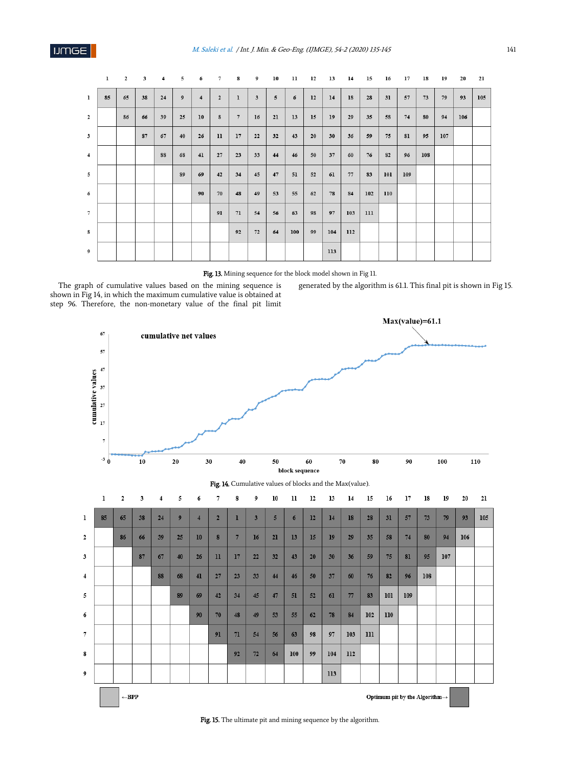|                | 1  | $\overline{2}$ | 3  | 4  | 5  | 6                       | $7\overline{ }$  | $\boldsymbol{s}$ | 9  | 10             | 11  | 12 | 13  | 14  | 15  | 16  | 17  | 18  | 19  | 20  | 21  |
|----------------|----|----------------|----|----|----|-------------------------|------------------|------------------|----|----------------|-----|----|-----|-----|-----|-----|-----|-----|-----|-----|-----|
| $\mathbf{1}$   | 85 | 65             | 38 | 24 | 9  | $\overline{\mathbf{4}}$ | $\mathbf{2}$     | $\mathbf{1}$     | 3  | $\overline{5}$ | 6   | 12 | 14  | 18  | 28  | 31  | 57  | 73  | 79  | 93  | 105 |
| $\overline{2}$ |    | 86             | 66 | 39 | 25 | 10                      | $\boldsymbol{8}$ | $\overline{7}$   | 16 | 21             | 13  | 15 | 19  | 29  | 35  | 58  | 74  | 80  | 94  | 106 |     |
| $\mathbf{3}$   |    |                | 87 | 67 | 40 | 26                      | 11               | 17               | 22 | 32             | 43  | 20 | 30  | 36  | 59  | 75  | 81  | 95  | 107 |     |     |
| $\overline{4}$ |    |                |    | 88 | 68 | 41                      | 27               | 23               | 33 | 44             | 46  | 50 | 37  | 60  | 76  | 82  | 96  | 108 |     |     |     |
| $\overline{5}$ |    |                |    |    | 89 | 69                      | 42               | 34               | 45 | 47             | 51  | 52 | 61  | 77  | 83  | 101 | 109 |     |     |     |     |
| 6              |    |                |    |    |    | 90                      | 70               | 48               | 49 | 53             | 55  | 62 | 78  | 84  | 102 | 110 |     |     |     |     |     |
| $\overline{7}$ |    |                |    |    |    |                         | 91               | $71\,$           | 54 | 56             | 63  | 98 | 97  | 103 | 111 |     |     |     |     |     |     |
| $\bf{8}$       |    |                |    |    |    |                         |                  | 92               | 72 | 64             | 100 | 99 | 104 | 112 |     |     |     |     |     |     |     |
| 9              |    |                |    |    |    |                         |                  |                  |    |                |     |    | 113 |     |     |     |     |     |     |     |     |

Fig. 13. Mining sequence for the block model shown in Fig 11.

The graph of cumulative values based on the mining sequence is shown in Fig 14, in which the maximum cumulative value is obtained at step 96. Therefore, the non-monetary value of the final pit limit generated by the algorithm is 61.1. This final pit is shown in Fig 15.



Fig. 15. The ultimate pit and mining sequence by the algorithm.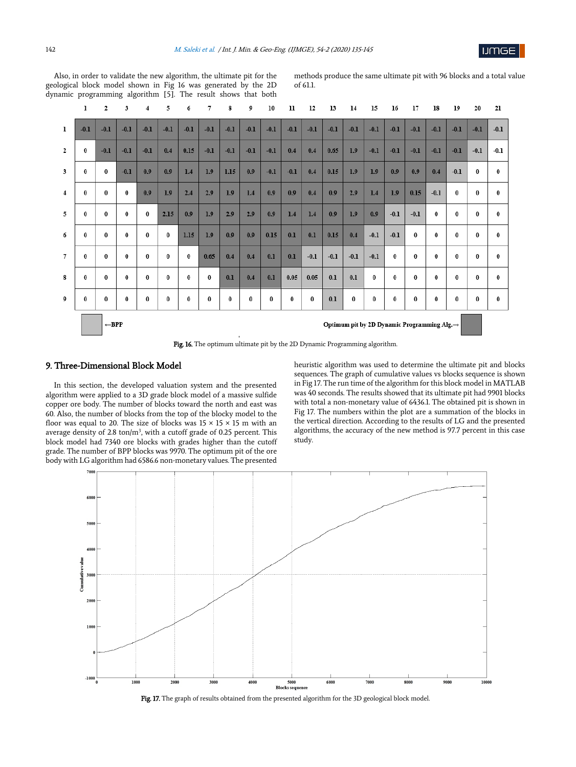![](_page_7_Picture_1.jpeg)

Also, in order to validate the new algorithm, the ultimate pit for the geological block model shown in Fig 16 was generated by the 2D dynamic programming algorithm [5]. The result shows that both methods produce the same ultimate pit with 96 blocks and a total value of 61.1.

|                                                                                 | ı        | $\overline{2}$ | 3        | $\overline{4}$ | 5        | 6        | 7        | 8        | 9        | 10       | 11       | 12     | 13     | 14       | 15        | 16       | 17       | 18       | 19       | 20       | 21       |
|---------------------------------------------------------------------------------|----------|----------------|----------|----------------|----------|----------|----------|----------|----------|----------|----------|--------|--------|----------|-----------|----------|----------|----------|----------|----------|----------|
| 1                                                                               | $-0.1$   | $-0.1$         | $-0.1$   | $-0.1$         | $-0.1$   | $-0.1$   | $-0.1$   | $-0.1$   | $-0.1$   | $-0.1$   | $-0.1$   | $-0.1$ | $-0.1$ | $-0.1$   | $-0.1$    | $-0.1$   | $-0.1$   | $-0.1$   | $-0.1$   | $-0.1$   | $-0.1$   |
| $\mathbf{2}$                                                                    | $\bf{0}$ | $-0.1$         | $-0.1$   | $-0.1$         | 0.4      | 0.15     | $-0.1$   | $-0.1$   | $-0.1$   | $-0.1$   | 0.4      | 0.4    | 0.65   | 1.9      | $-0.1$    | $-0.1$   | $-0.1$   | $-0.1$   | $-0.1$   | $-0.1$   | $-0.1$   |
| 3                                                                               | $\bf{0}$ | $\bf{0}$       | $-0.1$   | 0.9            | 0.9      | 1.4      | 1.9      | 1.15     | 0.9      | $-0.1$   | $-0.1$   | 0.4    | 0.15   | 1.9      | 1.9       | 0.9      | 0.9      | 0.4      | $-0.1$   | $\bf{0}$ | $\bf{0}$ |
| $\overline{4}$                                                                  | $\bf{0}$ | $\bf{0}$       | $\bf{0}$ | 0.9            | 1.9      | 2.4      | 2.9      | 1.9      | 1.4      | 0.9      | 0.9      | 0.4    | 0.9    | 2.9      | 1.4       | 1.9      | 0.15     | $-0.1$   | $\bf{0}$ | $\bf{0}$ | $\bf{0}$ |
| 5                                                                               | $\bf{0}$ | $\bf{0}$       | $\bf{0}$ | $\bf{0}$       | 2.15     | 0.9      | 1.9      | 2.9      | 2.9      | 0.9      | 1.4      | 1.4    | 0.9    | 1.9      | 0.9       | $-0.1$   | $-0.1$   | $\bf{0}$ | $\bf{0}$ | $\bf{0}$ | $\bf{0}$ |
| 6                                                                               | $\bf{0}$ | $\bf{0}$       | $\bf{0}$ | $\bf{0}$       | $\bf{0}$ | 1.15     | 1.9      | 0.9      | 0.9      | 0.15     | 0.1      | 0.1    | 0.15   | 0.4      | $-0.1$    | $-0.1$   | $\bf{0}$ | $\bf{0}$ | $\bf{0}$ | $\bf{0}$ | $\bf{0}$ |
| $\tau$                                                                          | $\bf{0}$ | $\bf{0}$       | $\bf{0}$ | $\bf{0}$       | $\bf{0}$ | $\bf{0}$ | 0.65     | 0.4      | 0.4      | 0.1      | 0.1      | $-0.1$ | $-0.1$ | $-0.1$   | $-0.1$    | $\bf{0}$ | $\bf{0}$ | $\bf{0}$ | $\bf{0}$ | $\bf{0}$ | $\bf{0}$ |
| 8                                                                               | $\bf{0}$ | $\theta$       | $\bf{0}$ | $\bf{0}$       | $\bf{0}$ | $\bf{0}$ | $\bf{0}$ | 0.1      | 0.4      | 0.1      | 0.05     | 0.05   | 0.1    | 0.1      | $\pmb{0}$ | $\bf{0}$ | $\bf{0}$ | $\bf{0}$ | $\bf{0}$ | $\bf{0}$ | $\bf{0}$ |
| 9                                                                               | $\bf{0}$ | $\bf{0}$       | $\bf{0}$ | $\bf{0}$       | $\bf{0}$ | $\bf{0}$ | $\bf{0}$ | $\bf{0}$ | $\bf{0}$ | $\bf{0}$ | $\bf{0}$ | 0      | 0.1    | $\bf{0}$ | $\bf{0}$  | $\bf{0}$ | $\bf{0}$ | $\bf{0}$ | $\bf{0}$ | $\bf{0}$ | $\bf{0}$ |
| $\leftarrow$ BPP<br>Optimum pit by 2D Dynamic Programming Alg.→<br>$\mathbf{L}$ |          |                |          |                |          |          |          |          |          |          |          |        |        |          |           |          |          |          |          |          |          |

Fig. 16. The optimum ultimate pit by the 2D Dynamic Programming algorithm.

### 9. Three-Dimensional Block Model

In this section, the developed valuation system and the presented algorithm were applied to a 3D grade block model of a massive sulfide copper ore body. The number of blocks toward the north and east was 60. Also, the number of blocks from the top of the blocky model to the floor was equal to 20. The size of blocks was  $15 \times 15 \times 15$  m with an average density of 2.8 ton/ $m<sup>3</sup>$ , with a cutoff grade of 0.25 percent. This block model had 7340 ore blocks with grades higher than the cutoff grade. The number of BPP blocks was 9970. The optimum pit of the ore body with LG algorithm had 6586.6 non-monetary values. The presented

heuristic algorithm was used to determine the ultimate pit and blocks sequences. The graph of cumulative values vs blocks sequence is shown in Fig 17. The run time of the algorithm for this block model in MATLAB was 40 seconds. The results showed that its ultimate pit had 9901 blocks with total a non-monetary value of 6436.1. The obtained pit is shown in Fig 17. The numbers within the plot are a summation of the blocks in the vertical direction. According to the results of LG and the presented algorithms, the accuracy of the new method is 97.7 percent in this case study.

![](_page_7_Figure_9.jpeg)

Fig. 17. The graph of results obtained from the presented algorithm for the 3D geological block model.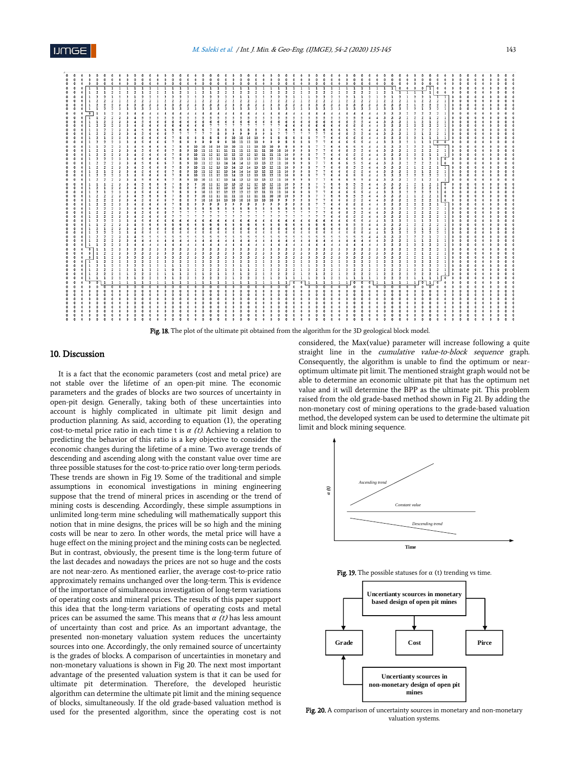![](_page_8_Figure_2.jpeg)

Fig. 18. The plot of the ultimate pit obtained from the algorithm for the 3D geological block model

# 10. Discussion

It is a fact that the economic parameters (cost and metal price) are not stable over the lifetime of an open-pit mine. The economic parameters and the grades of blocks are two sources of uncertainty in open-pit design. Generally, taking both of these uncertainties into account is highly complicated in ultimate pit limit design and production planning. As said, according to equation (1), the operating cost-to-metal price ratio in each time t is *α* (t). Achieving a relation to predicting the behavior of this ratio is a key objective to consider the economic changes during the lifetime of a mine. Two average trends of descending and ascending along with the constant value over time are three possible statuses for the cost-to-price ratio over long-term periods. These trends are shown in Fig 19. Some of the traditional and simple assumptions in economical investigations in mining engineering suppose that the trend of mineral prices in ascending or the trend of mining costs is descending. Accordingly, these simple assumptions in unlimited long-term mine scheduling will mathematically support this notion that in mine designs, the prices will be so high and the mining costs will be near to zero. In other words, the metal price will have a huge effect on the mining project and the mining costs can be neglected. But in contrast, obviously, the present time is the long-term future of the last decades and nowadays the prices are not so huge and the costs are not near-zero. As mentioned earlier, the average cost-to-price ratio approximately remains unchanged over the long-term. This is evidence of the importance of simultaneous investigation of long-term variations of operating costs and mineral prices. The results of this paper support this idea that the long-term variations of operating costs and metal prices can be assumed the same. This means that *α* (t) has less amount of uncertainty than cost and price. As an important advantage, the presented non-monetary valuation system reduces the uncertainty sources into one. Accordingly, the only remained source of uncertainty is the grades of blocks. A comparison of uncertainties in monetary and non-monetary valuations is shown in Fig 20. The next most important advantage of the presented valuation system is that it can be used for ultimate pit determination. Therefore, the developed heuristic algorithm can determine the ultimate pit limit and the mining sequence of blocks, simultaneously. If the old grade-based valuation method is used for the presented algorithm, since the operating cost is not

considered, the Max(value) parameter will increase following a quite straight line in the *cumulative value-to-block sequence* graph. Consequently, the algorithm is unable to find the optimum or nearoptimum ultimate pit limit. The mentioned straight graph would not be able to determine an economic ultimate pit that has the optimum net value and it will determine the BPP as the ultimate pit. This problem raised from the old grade-based method shown in Fig 21. By adding the non-monetary cost of mining operations to the grade-based valuation method, the developed system can be used to determine the ultimate pit limit and block mining sequence.

![](_page_8_Figure_7.jpeg)

![](_page_8_Figure_8.jpeg)

![](_page_8_Figure_9.jpeg)

Fig. 20. A comparison of uncertainty sources in monetary and non-monetary valuation systems.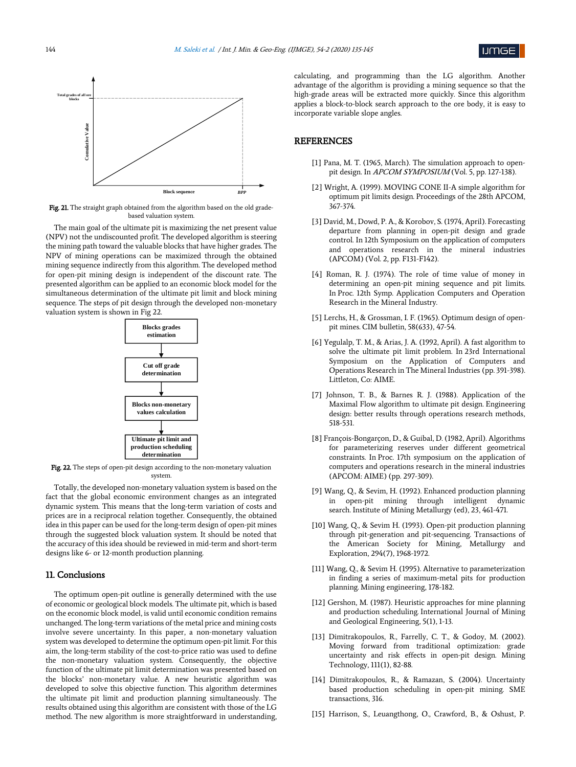![](_page_9_Picture_1.jpeg)

![](_page_9_Figure_2.jpeg)

Fig. 21. The straight graph obtained from the algorithm based on the old gradebased valuation system.

The main goal of the ultimate pit is maximizing the net present value (NPV) not the undiscounted profit. The developed algorithm is steering the mining path toward the valuable blocks that have higher grades. The NPV of mining operations can be maximized through the obtained mining sequence indirectly from this algorithm. The developed method for open-pit mining design is independent of the discount rate. The presented algorithm can be applied to an economic block model for the simultaneous determination of the ultimate pit limit and block mining sequence. The steps of pit design through the developed non-monetary valuation system is shown in Fig 22.

![](_page_9_Figure_5.jpeg)

Fig. 22. The steps of open-pit design according to the non-monetary valuation system.

Totally, the developed non-monetary valuation system is based on the fact that the global economic environment changes as an integrated dynamic system. This means that the long-term variation of costs and prices are in a reciprocal relation together. Consequently, the obtained idea in this paper can be used for the long-term design of open-pit mines through the suggested block valuation system. It should be noted that the accuracy of this idea should be reviewed in mid-term and short-term designs like 6- or 12-month production planning.

## 11. Conclusions

The optimum open-pit outline is generally determined with the use of economic or geological block models. The ultimate pit, which is based on the economic block model, is valid until economic condition remains unchanged. The long-term variations of the metal price and mining costs involve severe uncertainty. In this paper, a non-monetary valuation system was developed to determine the optimum open-pit limit. For this aim, the long-term stability of the cost-to-price ratio was used to define the non-monetary valuation system. Consequently, the objective function of the ultimate pit limit determination was presented based on the blocks' non-monetary value. A new heuristic algorithm was developed to solve this objective function. This algorithm determines the ultimate pit limit and production planning simultaneously. The results obtained using this algorithm are consistent with those of the LG method. The new algorithm is more straightforward in understanding, calculating, and programming than the LG algorithm. Another advantage of the algorithm is providing a mining sequence so that the high-grade areas will be extracted more quickly. Since this algorithm applies a block-to-block search approach to the ore body, it is easy to incorporate variable slope angles.

# **REFERENCES**

- [1] Pana, M. T. (1965, March). The simulation approach to openpit design. In APCOM SYMPOSIUM (Vol. 5, pp. 127-138).
- [2] Wright, A. (1999). MOVING CONE II-A simple algorithm for optimum pit limits design. Proceedings of the 28th APCOM, 367-374.
- [3] David, M., Dowd, P. A., & Korobov, S. (1974, April). Forecasting departure from planning in open-pit design and grade control. In 12th Symposium on the application of computers and operations research in the mineral industries (APCOM) (Vol. 2, pp. F131-F142).
- [4] Roman, R. J. (1974). The role of time value of money in determining an open-pit mining sequence and pit limits. In Proc. 12th Symp. Application Computers and Operation Research in the Mineral Industry.
- [5] Lerchs, H., & Grossman, I. F. (1965). Optimum design of openpit mines. CIM bulletin, 58(633), 47-54.
- [6] Yegulalp, T. M., & Arias, J. A. (1992, April). A fast algorithm to solve the ultimate pit limit problem. In 23rd International Symposium on the Application of Computers and Operations Research in The Mineral Industries (pp. 391-398). Littleton, Co: AIME.
- [7] Johnson, T. B., & Barnes R. J. (1988). Application of the Maximal Flow algorithm to ultimate pit design. Engineering design: better results through operations research methods, 518-531.
- [8] François-Bongarçon, D., & Guibal, D. (1982, April). Algorithms for parameterizing reserves under different geometrical constraints. In Proc. 17th symposium on the application of computers and operations research in the mineral industries (APCOM: AIME) (pp. 297-309).
- [9] Wang, Q., & Sevim, H. (1992). Enhanced production planning in open-pit mining through intelligent dynamic search. Institute of Mining Metallurgy (ed), 23, 461-471.
- [10] Wang, Q., & Sevim H. (1993). Open-pit production planning through pit-generation and pit-sequencing. Transactions of the American Society for Mining, Metallurgy and Exploration, 294(7), 1968-1972.
- [11] Wang, Q., & Sevim H. (1995). Alternative to parameterization in finding a series of maximum-metal pits for production planning. Mining engineering, 178-182.
- [12] Gershon, M. (1987). Heuristic approaches for mine planning and production scheduling. International Journal of Mining and Geological Engineering, 5(1), 1-13.
- [13] Dimitrakopoulos, R., Farrelly, C. T., & Godoy, M. (2002). Moving forward from traditional optimization: grade uncertainty and risk effects in open-pit design. Mining Technology, 111(1), 82-88.
- [14] Dimitrakopoulos, R., & Ramazan, S. (2004). Uncertainty based production scheduling in open-pit mining. SME transactions, 316.
- [15] Harrison, S., Leuangthong, O., Crawford, B., & Oshust, P.